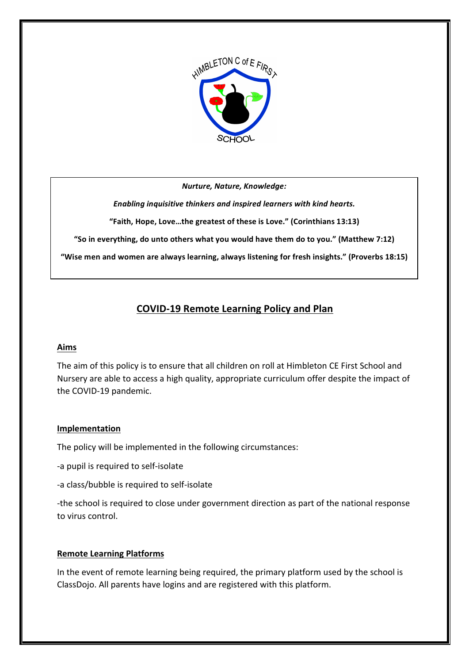

*Nurture, Nature, Knowledge:* 

**Enabling inquisitive thinkers and inspired learners with kind hearts.** 

"Faith, Hope, Love...the greatest of these is Love." (Corinthians 13:13)

"So in everything, do unto others what you would have them do to you." (Matthew 7:12)

"Wise men and women are always learning, always listening for fresh insights." (Proverbs 18:15)

# **COVID-19 Remote Learning Policy and Plan**

## **Aims**

The aim of this policy is to ensure that all children on roll at Himbleton CE First School and Nursery are able to access a high quality, appropriate curriculum offer despite the impact of the COVID-19 pandemic.

## **Implementation**

The policy will be implemented in the following circumstances:

- -a pupil is required to self-isolate
- -a class/bubble is required to self-isolate

-the school is required to close under government direction as part of the national response to virus control.

## **Remote Learning Platforms**

In the event of remote learning being required, the primary platform used by the school is ClassDojo. All parents have logins and are registered with this platform.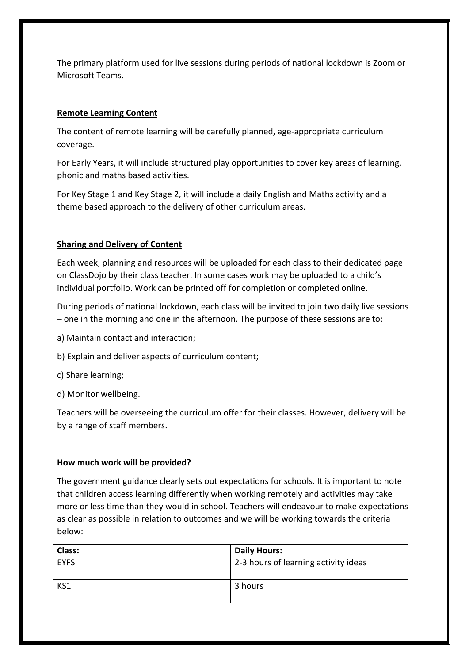The primary platform used for live sessions during periods of national lockdown is Zoom or Microsoft Teams.

## **Remote Learning Content**

The content of remote learning will be carefully planned, age-appropriate curriculum coverage. 

For Early Years, it will include structured play opportunities to cover key areas of learning, phonic and maths based activities.

For Key Stage 1 and Key Stage 2, it will include a daily English and Maths activity and a theme based approach to the delivery of other curriculum areas.

## **Sharing and Delivery of Content**

Each week, planning and resources will be uploaded for each class to their dedicated page on ClassDojo by their class teacher. In some cases work may be uploaded to a child's individual portfolio. Work can be printed off for completion or completed online.

During periods of national lockdown, each class will be invited to join two daily live sessions  $-$  one in the morning and one in the afternoon. The purpose of these sessions are to:

- a) Maintain contact and interaction;
- b) Explain and deliver aspects of curriculum content;
- c) Share learning;
- d) Monitor wellbeing.

Teachers will be overseeing the curriculum offer for their classes. However, delivery will be by a range of staff members.

## How much work will be provided?

The government guidance clearly sets out expectations for schools. It is important to note that children access learning differently when working remotely and activities may take more or less time than they would in school. Teachers will endeavour to make expectations as clear as possible in relation to outcomes and we will be working towards the criteria below:

| Class:      | <b>Daily Hours:</b>                  |
|-------------|--------------------------------------|
| <b>EYFS</b> | 2-3 hours of learning activity ideas |
|             |                                      |
| KS1         | 3 hours                              |
|             |                                      |